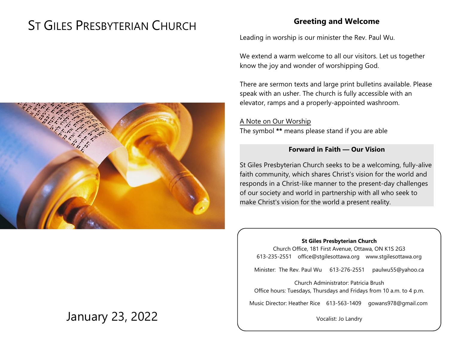# ST GILES PRESBYTERIAN CHURCH

## **Greeting and Welcome**

Leading in worship is our minister the Rev. Paul Wu.

We extend a warm welcome to all our visitors. Let us together know the joy and wonder of worshipping God.

There are sermon texts and large print bulletins available. Please speak with an usher. The church is fully accessible with an elevator, ramps and a properly-appointed washroom.

A Note on Our Worship The symbol **\*\*** means please stand if you are able

#### **Forward in Faith — Our Vision**

St Giles Presbyterian Church seeks to be a welcoming, fully-alive faith community, which shares Christ's vision for the world and responds in a Christ-like manner to the present-day challenges of our society and world in partnership with all who seek to make Christ's vision for the world a present reality.

#### **St Giles Presbyterian Church**

Church Office, 181 First Avenue, Ottawa, ON K1S 2G3 613-235-2551 office@stgilesottawa.org www.stgilesottawa.org

Minister: The Rev. Paul Wu 613-276-2551 paulwu55@yahoo.ca

Church Administrator: Patricia Brush Office hours: Tuesdays, Thursdays and Fridays from 10 a.m. to 4 p.m.

Music Director: Heather Rice 613-563-1409 gowans978@gmail.com

Vocalist: Jo Landry



## January 23, 2022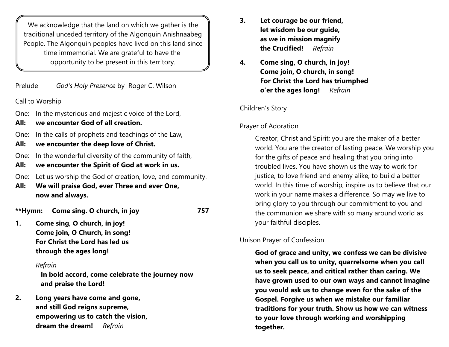We acknowledge that the land on which we gather is the traditional unceded territory of the Algonquin Anishnaabeg People. The Algonquin peoples have lived on this land since time immemorial. We are grateful to have the opportunity to be present in this territory.

Prelude *God's Holy Presence* by Roger C. Wilson

Call to Worship

- One: In the mysterious and majestic voice of the Lord,
- **All: we encounter God of all creation.**
- One: In the calls of prophets and teachings of the Law,
- **All: we encounter the deep love of Christ.**
- One: In the wonderful diversity of the community of faith,
- **All: we encounter the Spirit of God at work in us.**
- One: Let us worship the God of creation, love, and community.
- **All: We will praise God, ever Three and ever One, now and always.**

**\*\*Hymn: Come sing. O church, in joy 757**

**1. Come sing, O church, in joy! Come join, O Church, in song! For Christ the Lord has led us through the ages long!** 

#### *Refrain*

**In bold accord, come celebrate the journey now and praise the Lord!**

**2. Long years have come and gone, and still God reigns supreme, empowering us to catch the vision, dream the dream!** *Refrain*

- **3. Let courage be our friend, let wisdom be our guide, as we in mission magnify the Crucified!** *Refrain*
- **4. Come sing, O church, in joy! Come join, O church, in song! For Christ the Lord has triumphed o'er the ages long!** *Refrain*

## Children's Story

## Prayer of Adoration

Creator, Christ and Spirit; you are the maker of a better world. You are the creator of lasting peace. We worship you for the gifts of peace and healing that you bring into troubled lives. You have shown us the way to work for justice, to love friend and enemy alike, to build a better world. In this time of worship, inspire us to believe that our work in your name makes a difference. So may we live to bring glory to you through our commitment to you and the communion we share with so many around world as your faithful disciples.

## Unison Prayer of Confession

**God of grace and unity, we confess we can be divisive when you call us to unity, quarrelsome when you call us to seek peace, and critical rather than caring. We have grown used to our own ways and cannot imagine you would ask us to change even for the sake of the Gospel. Forgive us when we mistake our familiar traditions for your truth. Show us how we can witness to your love through working and worshipping together.**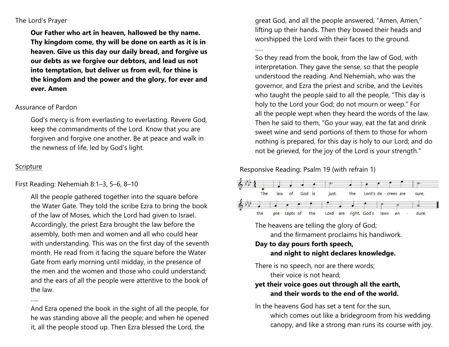#### The Lord's Prayer

**Our Father who art in heaven, hallowed be thy name. Thy kingdom come, thy will be done on earth as it is in heaven. Give us this day our daily bread, and forgive us our debts as we forgive our debtors, and lead us not into temptation, but deliver us from evil, for thine is the kingdom and the power and the glory, for ever and ever. Amen**

#### Assurance of Pardon

God's mercy is from everlasting to everlasting. Revere God, keep the commandments of the Lord. Know that you are forgiven and forgive one another. Be at peace and walk in the newness of life, led by God's light.

#### **Scripture**

…..

#### First Reading: Nehemiah 8:1–3, 5–6, 8–10

All the people gathered together into the square before the Water Gate. They told the scribe Ezra to bring the book of the law of Moses, which the Lord had given to Israel. Accordingly, the priest Ezra brought the law before the assembly, both men and women and all who could hear with understanding. This was on the first day of the seventh month. He read from it facing the square before the Water Gate from early morning until midday, in the presence of the men and the women and those who could understand; and the ears of all the people were attentive to the book of the law.

And Ezra opened the book in the sight of all the people, for he was standing above all the people; and when he opened it, all the people stood up. Then Ezra blessed the Lord, the

great God, and all the people answered, "Amen, Amen," lifting up their hands. Then they bowed their heads and worshipped the Lord with their faces to the ground.

## So they read from the book, from the law of God, with interpretation. They gave the sense, so that the people understood the reading. And Nehemiah, who was the governor, and Ezra the priest and scribe, and the Levites who taught the people said to all the people, "This day is holy to the Lord your God; do not mourn or weep." For all the people wept when they heard the words of the law. Then he said to them, "Go your way, eat the fat and drink sweet wine and send portions of them to those for whom nothing is prepared, for this day is holy to our Lord; and do not be grieved, for the joy of the Lord is your strength."

Responsive Reading: Psalm 19 (with refrain 1)

…..



The heavens are telling the glory of God; and the firmament proclaims his handiwork.

## **Day to day pours forth speech, and night to night declares knowledge.**

There is no speech, nor are there words; their voice is not heard;

## **yet their voice goes out through all the earth, and their words to the end of the world.**

In the heavens God has set a tent for the sun,

which comes out like a bridegroom from his wedding canopy, and like a strong man runs its course with joy.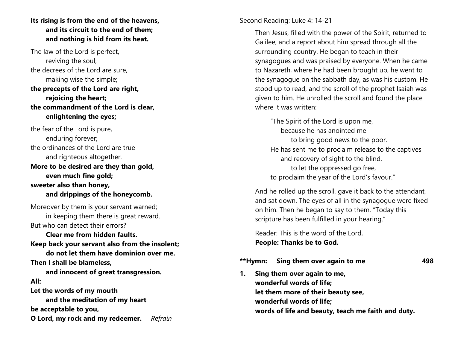## **Its rising is from the end of the heavens, and its circuit to the end of them; and nothing is hid from its heat.**

The law of the Lord is perfect, reviving the soul; the decrees of the Lord are sure, making wise the simple; **the precepts of the Lord are right, rejoicing the heart; the commandment of the Lord is clear, enlightening the eyes;**

the fear of the Lord is pure, enduring forever; the ordinances of the Lord are true and righteous altogether. **More to be desired are they than gold, even much fine gold; sweeter also than honey, and drippings of the honeycomb.**

Moreover by them is your servant warned; in keeping them there is great reward. But who can detect their errors?

**Clear me from hidden faults. Keep back your servant also from the insolent; do not let them have dominion over me. Then I shall be blameless, and innocent of great transgression. All: Let the words of my mouth**

**and the meditation of my heart be acceptable to you,**

**O Lord, my rock and my redeemer.** *Refrain*

Second Reading: Luke 4: 14-21

Then Jesus, filled with the power of the Spirit, returned to Galilee, and a report about him spread through all the surrounding country. He began to teach in their synagogues and was praised by everyone. When he came to Nazareth, where he had been brought up, he went to the synagogue on the sabbath day, as was his custom. He stood up to read, and the scroll of the prophet Isaiah was given to him. He unrolled the scroll and found the place where it was written:

"The Spirit of the Lord is upon me, because he has anointed me to bring good news to the poor. He has sent me to proclaim release to the captives and recovery of sight to the blind, to let the oppressed go free, to proclaim the year of the Lord's favour."

And he rolled up the scroll, gave it back to the attendant, and sat down. The eyes of all in the synagogue were fixed on him. Then he began to say to them, "Today this scripture has been fulfilled in your hearing."

Reader: This is the word of the Lord, **People: Thanks be to God.**

## **\*\*Hymn: Sing them over again to me 498**

- **1. Sing them over again to me, wonderful words of life; let them more of their beauty see, wonderful words of life; words of life and beauty, teach me faith and duty.**
-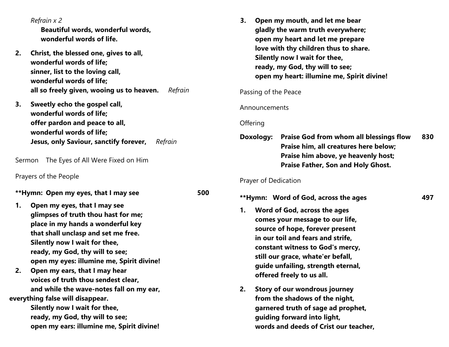*Refrain x 2* **Beautiful words, wonderful words, wonderful words of life. 2. Christ, the blessed one, gives to all, wonderful words of life; sinner, list to the loving call, wonderful words of life; all so freely given, wooing us to heaven.** *Refrain* **3. Sweetly echo the gospel call, wonderful words of life; offer pardon and peace to all, wonderful words of life; Jesus, only Saviour, sanctify forever,** *Refrain* Sermon The Eyes of All Were Fixed on Him Prayers of the People **\*\*Hymn: Open my eyes, that I may see 500 1. Open my eyes, that I may see glimpses of truth thou hast for me; place in my hands a wonderful key that shall unclasp and set me free. Silently now I wait for thee, ready, my God, thy will to see; open my eyes: illumine me, Spirit divine! 2. Open my ears, that I may hear voices of truth thou sendest clear, and while the wave-notes fall on my ear, everything false will disappear. Silently now I wait for thee, ready, my God, thy will to see; open my ears: illumine me, Spirit divine!**

**3. Open my mouth, and let me bear gladly the warm truth everywhere; open my heart and let me prepare love with thy children thus to share. Silently now I wait for thee, ready, my God, thy will to see; open my heart: illumine me, Spirit divine!** Passing of the Peace Announcements **Offering Doxology: Praise God from whom all blessings flow 830 Praise him, all creatures here below; Praise him above, ye heavenly host; Praise Father, Son and Holy Ghost.** Prayer of Dedication **\*\*Hymn: Word of God, across the ages 497 1. Word of God, across the ages comes your message to our life, source of hope, forever present in our toil and fears and strife, constant witness to God's mercy, still our grace, whate'er befall, guide unfailing, strength eternal, offered freely to us all. 2. Story of our wondrous journey from the shadows of the night, garnered truth of sage ad prophet, guiding forward into light,** 

**words and deeds of Crist our teacher,**